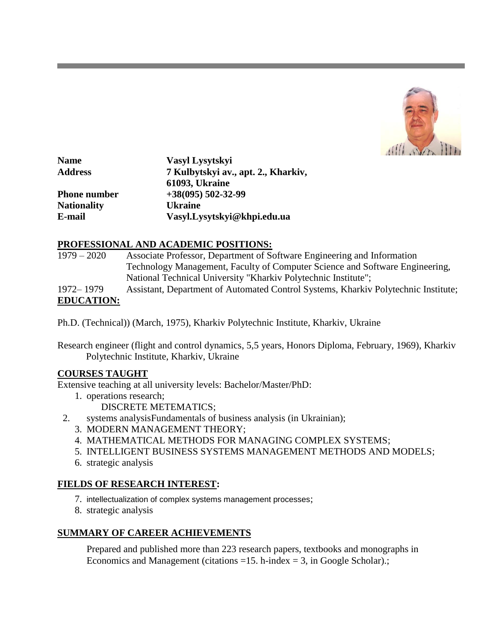

| <b>Name</b>         | Vasyl Lysytskyi                     |
|---------------------|-------------------------------------|
| <b>Address</b>      | 7 Kulbytskyi av., apt. 2., Kharkiv, |
|                     | <b>61093, Ukraine</b>               |
| <b>Phone number</b> | $+38(095)$ 502-32-99                |
| <b>Nationality</b>  | <b>Ukraine</b>                      |
| E-mail              | Vasyl.Lysytskyi@khpi.edu.ua         |

### **PROFESSIONAL AND ACADEMIC POSITIONS:**

| $1979 - 2020$     | Associate Professor, Department of Software Engineering and Information            |
|-------------------|------------------------------------------------------------------------------------|
|                   | Technology Management, Faculty of Computer Science and Software Engineering,       |
|                   | National Technical University "Kharkiv Polytechnic Institute";                     |
| 1972–1979         | Assistant, Department of Automated Control Systems, Kharkiv Polytechnic Institute; |
| <b>EDUCATION:</b> |                                                                                    |

Ph.D. (Technical)) (March, 1975), Kharkiv Polytechnic Institute, Kharkiv, Ukraine

Research engineer (flight and control dynamics, 5,5 years, Honors Diploma, February, 1969), Kharkiv Polytechnic Institute, Kharkiv, Ukraine

#### **COURSES TAUGHT**

Extensive teaching at all university levels: Bachelor/Master/PhD:

- 1. operations research;
	- DISCRETE METEMATICS;
- 2. systems analysisFundamentals of business analysis (in Ukrainian);
	- 3. MODERN MANAGEMENT THEORY;
	- 4. MATHEMATICAL METHODS FOR MANAGING COMPLEX SYSTEMS;
	- 5. INTELLIGENT BUSINESS SYSTEMS MANAGEMENT METHODS AND MODELS;
	- 6. strategic analysis

# **FIELDS OF RESEARCH INTEREST:**

- 7. intellectualization of complex systems management processes;
- 8. strategic analysis

# **SUMMARY OF CAREER ACHIEVEMENTS**

Prepared and published more than 223 research papers, textbooks and monographs in Economics and Management (citations =15. h-index = 3, in Google Scholar).;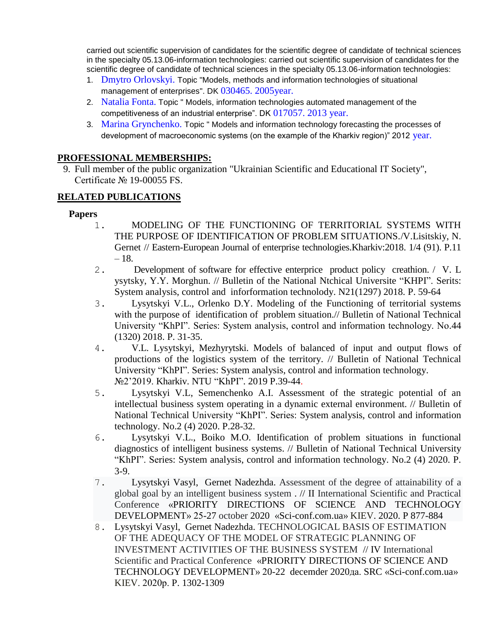carried out scientific supervision of candidates for the scientific degree of candidate of technical sciences in the specialty 05.13.06-information technologies: carried out scientific supervision of candidates for the scientific degree of candidate of technical sciences in the specialty 05.13.06-information technologies:

- 1. Dmytro Orlovskyi. Topic "Models, methods and information technologies of situational management of enterprises". DK 030465. 2005 year.
- 2. Natalia Fonta. Topic " Models, information technologies automated management of the competitiveness of an industrial enterprise". DK 017057. 2013 year.
- 3. Marina Grynchenko. Topic " Models and information technology forecasting the processes of development of macroeconomic systems (on the example of the Kharkiv region)" 2012 year.

#### **PROFESSIONAL MEMBERSHIPS:**

9. Full member of the public organization "Ukrainian Scientific and Educational IT Society", Certificate № 19-00055 FS.

# **RELATED PUBLICATIONS**

### **Papers**

- 1. MODELING OF THE FUNCTIONING OF TERRITORIAL SYSTEMS WITH THE PURPOSE OF IDENTIFICATION OF PROBLEM SITUATIONS./V.Lisitskiy, N. Gernet // Eastern-European Journal of enterprise technologies.Kharkiv:2018. 1/4 (91). P.11 – 18.
- 2. Development of software for effective enterprice product policy creathion. / V. L ysytsky, Y.Y. Morghun. // Bulletin of the National Ntchical Universite "KHPI". Serits: System analysis, control and inforformation technolody. N21(1297) 2018. P. 59-64
- 3. Lysytskyi V.L., Orlenko D.Y. Modeling of the Functioning of territorial systems with the purpose of identification of problem situation.// Bulletin of National Technical University "KhPI". Series: System analysis, control and information technology. No.44 (1320) 2018. P. 31-35.
- 4. V.L. Lysytskyi, Mezhyrytski. Models of balanced of input and output flows of productions of the logistics system of the territory. // Bulletin of National Technical University "KhPI". Series: System analysis, control and information technology. №2'2019. Kharkiv. NTU "KhPI". 2019 P.39-44.
- 5. Lysytskyi V.L, Semenchenko A.I. Assessment of the strategic potential of an intellectual business system operating in a dynamic external environment. // Bulletin of National Technical University "KhPI". Series: System analysis, control and information technology. No.2 (4) 2020. P.28-32.
- 6. Lysytskyi V.L., Boiko M.O. Identification of problem situations in functional diagnostics of intelligent business systems. // Bulletin of National Technical University "KhPI". Series: System analysis, control and information technology. No.2 (4) 2020. P. 3-9.
- 7. Lysytskyi Vasyl, Gernet Nadezhda. Assessment of the degree of attainability of a global goal by an intelligent business system . // II International Scientific and Practical Conference «PRIORITY DIRECTIONS OF SCIENCE AND TECHNOLOGY DEVELOPMENT» 25-27 october 2020 «Sci-conf.com.ua» KIEV. 2020. P 877-884
- 8. Lysytskyi Vasyl, Gernet Nadezhda. TECHNOLOGICAL BASIS OF ESTIMATION OF THE ADEQUACY OF THE MODEL OF STRATEGIC PLANNING OF INVESTMENT ACTIVITIES OF THE BUSINESS SYSTEM // IV International Scientific and Practical Conference «PRIORITY DIRECTIONS OF SCIENCE AND TECHNOLOGY DEVELOPMENT» 20-22 decemder 2020да. SRC «Sci-conf.com.ua» KIEV. 2020р. P. 1302-1309